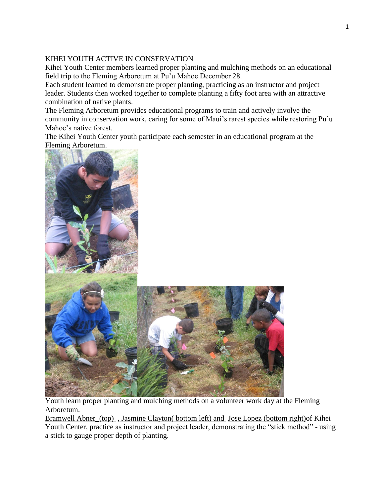## KIHEI YOUTH ACTIVE IN CONSERVATION

Kihei Youth Center members learned proper planting and mulching methods on an educational field trip to the Fleming Arboretum at Pu'u Mahoe December 28.

Each student learned to demonstrate proper planting, practicing as an instructor and project leader. Students then worked together to complete planting a fifty foot area with an attractive combination of native plants.

The Fleming Arboretum provides educational programs to train and actively involve the community in conservation work, caring for some of Maui's rarest species while restoring Pu'u Mahoe's native forest.

The Kihei Youth Center youth participate each semester in an educational program at the Fleming Arboretum.



Youth learn proper planting and mulching methods on a volunteer work day at the Fleming Arboretum.

Bramwell Abner\_(top) , Jasmine Clayton( bottom left) and Jose Lopez (bottom right)of Kihei Youth Center, practice as instructor and project leader, demonstrating the "stick method" - using a stick to gauge proper depth of planting.